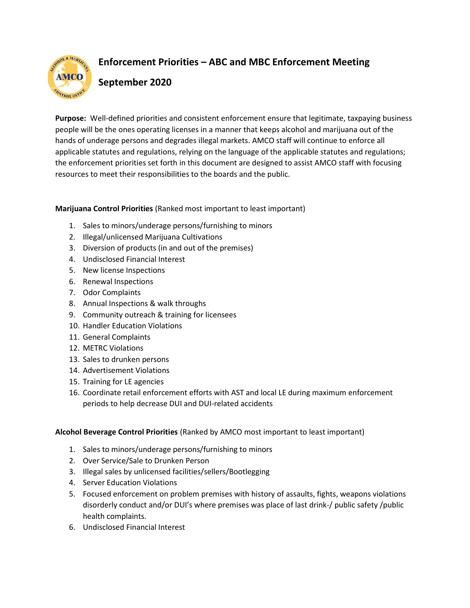

## Enforcement Priorities – ABC and MBC Enforcement Meeting

## September 2020

Purpose: Well-defined priorities and consistent enforcement ensure that legitimate, taxpaying business people will be the ones operating licenses in a manner that keeps alcohol and marijuana out of the hands of underage persons and degrades illegal markets. AMCO staff will continue to enforce all applicable statutes and regulations, relying on the language of the applicable statutes and regulations; the enforcement priorities set forth in this document are designed to assist AMCO staff with focusing resources to meet their responsibilities to the boards and the public.

## Marijuana Control Priorities (Ranked most important to least important)

- 1. Sales to minors/underage persons/furnishing to minors
- 2. Illegal/unlicensed Marijuana Cultivations
- 3. Diversion of products (in and out of the premises)
- 4. Undisclosed Financial Interest
- 5. New license Inspections
- 6. Renewal Inspections
- 7. Odor Complaints
- 8. Annual Inspections & walk throughs
- 9. Community outreach & training for licensees
- 10. Handler Education Violations
- 11. General Complaints
- 12. METRC Violations
- 13. Sales to drunken persons
- 14. Advertisement Violations
- 15. Training for LE agencies
- 16. Coordinate retail enforcement efforts with AST and local LE during maximum enforcement periods to help decrease DUI and DUI-related accidents

## Alcohol Beverage Control Priorities (Ranked by AMCO most important to least important)

- 1. Sales to minors/underage persons/furnishing to minors
- 2. Over Service/Sale to Drunken Person
- 3. Illegal sales by unlicensed facilities/sellers/Bootlegging
- 4. Server Education Violations
- 5. Focused enforcement on problem premises with history of assaults, fights, weapons violations disorderly conduct and/or DUI's where premises was place of last drink-/ public safety /public health complaints.
- 6. Undisclosed Financial Interest